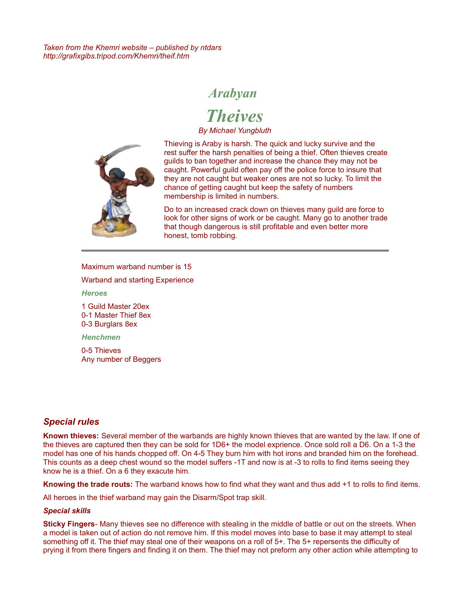*Taken from the Khemri website – published by ntdars http://grafixgibs.tripod.com/Khemri/theif.htm*

## *Arabyan*

*Theives*

*By Michael Yungbluth*



[T](http://grafixgibs.tripod.com/Khemri/theif.htm)hieving is Araby is harsh. The quick and lucky survive and the rest suffer the harsh penalties of being a thief. Often thieves create guilds to ban together and increase the chance they may not be caught. Powerful guild often pay off the police force to insure that they are not caught but weaker ones are not so lucky. To limit the chance of getting caught but keep the safety of numbers membership is limited in numbers.

Do to an increased crack down on thieves many guild are force to look for other signs of work or be caught. Many go to another trade that though dangerous is still profitable and even better more honest, tomb robbing.

Maximum warband number is 15

Warband and starting Experience

*Heroes*

1 Guild Master 20ex 0-1 Master Thief 8ex 0-3 Burglars 8ex

*Henchmen*

0-5 Thieves Any number of Beggers

## *Special rules*

**Known thieves:** Several member of the warbands are highly known thieves that are wanted by the law. If one of the thieves are captured then they can be sold for 1D6+ the model exprience. Once sold roll a D6. On a 1-3 the model has one of his hands chopped off. On 4-5 They burn him with hot irons and branded him on the forehead. This counts as a deep chest wound so the model suffers -1T and now is at -3 to rolls to find items seeing they know he is a thief. On a 6 they exacute him.

**Knowing the trade routs:** The warband knows how to find what they want and thus add +1 to rolls to find items.

All heroes in the thief warband may gain the Disarm/Spot trap skill.

#### *Special skills*

**Sticky Fingers**- Many thieves see no difference with stealing in the middle of battle or out on the streets. When a model is taken out of action do not remove him. If this model moves into base to base it may attempt to steal something off it. The thief may steal one of their weapons on a roll of 5+. The 5+ repersents the difficulty of prying it from there fingers and finding it on them. The thief may not preform any other action while attempting to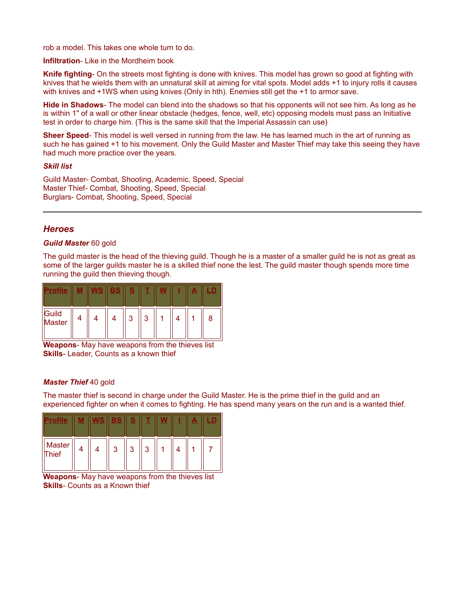rob a model. This takes one whole turn to do.

**Infiltration**- Like in the Mordheim book

**Knife fighting**- On the streets most fighting is done with knives. This model has grown so good at fighting with knives that he wields them with an unnatural skill at aiming for vital spots. Model adds +1 to injury rolls it causes with knives and +1WS when using knives (Only in hth). Enemies still get the +1 to armor save.

**Hide in Shadows**- The model can blend into the shadows so that his opponents will not see him. As long as he is within 1" of a wall or other linear obstacle (hedges, fence, well, etc) opposing models must pass an Initiative test in order to charge him. (This is the same skill that the Imperial Assassin can use)

**Sheer Speed**- This model is well versed in running from the law. He has learned much in the art of running as such he has gained +1 to his movement. Only the Guild Master and Master Thief may take this seeing they have had much more practice over the years.

#### *Skill list*

Guild Master- Combat, Shooting, Academic, Speed, Special Master Thief- Combat, Shooting, Speed, Special Burglars- Combat, Shooting, Speed, Special

### *Heroes*

#### *Guild Master* 60 gold

The guild master is the head of the thieving guild. Though he is a master of a smaller guild he is not as great as some of the larger guilds master he is a skilled thief none the lest. The guild master though spends more time running the guild then thieving though.

|                 | /S | BS | О<br>ኈ |        |  | $\equiv$ | LD. |
|-----------------|----|----|--------|--------|--|----------|-----|
| Guild<br>Master |    |    | ↷      | ົ<br>J |  |          |     |

**Weapons**- May have weapons from the thieves list **Skills**- Leader, Counts as a known thief

#### *Master Thief* 40 gold

The master thief is second in charge under the Guild Master. He is the prime thief in the guild and an experienced fighter on when it comes to fighting. He has spend many years on the run and is a wanted thief.

| ٠               |  | ×<br>∍™<br><b>ETG</b> |   |   |  | - |  |
|-----------------|--|-----------------------|---|---|--|---|--|
| Master<br>Thief |  | ঽ                     | 3 | າ |  |   |  |

**Weapons**- May have weapons from the thieves list **Skills**- Counts as a Known thief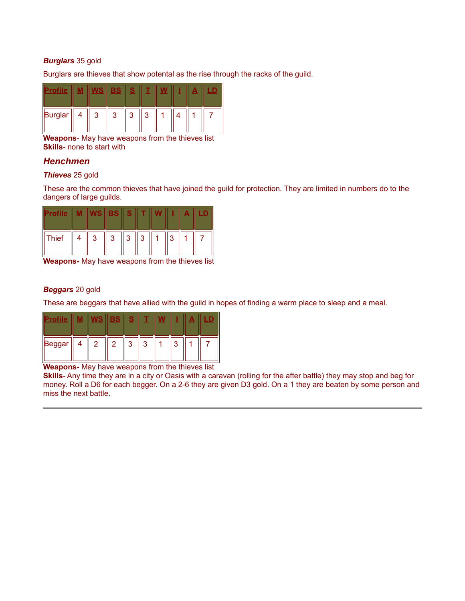### *Burglars* 35 gold

Burglars are thieves that show potental as the rise through the racks of the guild.

|         |   | $\blacksquare$ | × |   |  | $\blacksquare$ |  |
|---------|---|----------------|---|---|--|----------------|--|
| Burglar | 3 | 2<br>ັ         | ึ | ົ |  |                |  |

**Weapons**- May have weapons from the thieves list **Skills**- none to start with

## *Henchmen*

#### *Thieves* 25 gold

These are the common thieves that have joined the guild for protection. They are limited in numbers do to the dangers of large guilds.

|       |   |   | Е | o              |   |   | $\overline{\phantom{a}}$ |  |
|-------|---|---|---|----------------|---|---|--------------------------|--|
| Thief | 4 | 3 | 3 | 3 <sup>1</sup> | 3 | ാ |                          |  |

**Weapons-** May have weapons from the thieves list

#### *Beggars* 20 gold

These are beggars that have allied with the guild in hopes of finding a warm place to sleep and a meal.

|  |                | $\blacksquare$<br>$\blacksquare$ | ۰ |   |   | ÷ |  |
|--|----------------|----------------------------------|---|---|---|---|--|
|  | $\overline{2}$ | $\overline{2}$                   | ົ | ົ | ົ |   |  |

**Weapons-** May have weapons from the thieves list

**Skills**- Any time they are in a city or Oasis with a caravan (rolling for the after battle) they may stop and beg for money. Roll a D6 for each begger. On a 2-6 they are given D3 gold. On a 1 they are beaten by some person and miss the next battle.